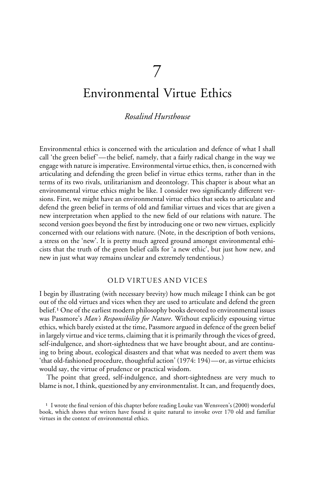# Environmental Virtue Ethics

# *Rosalind Hursthouse*

Environmental ethics is concerned with the articulation and defence of what I shall call 'the green belief'—the belief, namely, that a fairly radical change in the way we engage with nature is imperative. Environmental virtue ethics, then, is concerned with articulating and defending the green belief in virtue ethics terms, rather than in the terms of its two rivals, utilitarianism and deontology. This chapter is about what an environmental virtue ethics might be like. I consider two significantly different versions. First, we might have an environmental virtue ethics that seeks to articulate and defend the green belief in terms of old and familiar virtues and vices that are given a new interpretation when applied to the new field of our relations with nature. The second version goes beyond the first by introducing one or two new virtues, explicitly concerned with our relations with nature. (Note, in the description of both versions, a stress on the 'new'. It is pretty much agreed ground amongst environmental ethicists that the truth of the green belief calls for 'a new ethic', but just how new, and new in just what way remains unclear and extremely tendentious.)

# OLD VIRTUES AND VICES

I begin by illustrating (with necessary brevity) how much mileage I think can be got out of the old virtues and vices when they are used to articulate and defend the green belief.<sup>1</sup> One of the earliest modern philosophy books devoted to environmental issues was Passmore's *Man's Responsibility for Nature*. Without explicitly espousing virtue ethics, which barely existed at the time, Passmore argued in defence of the green belief in largely virtue and vice terms, claiming that it is primarily through the vices of greed, self-indulgence, and short-sightedness that we have brought about, and are continuing to bring about, ecological disasters and that what was needed to avert them was 'that old-fashioned procedure, thoughtful action' (1974: 194)—or, as virtue ethicists would say, the virtue of prudence or practical wisdom.

The point that greed, self-indulgence, and short-sightedness are very much to blame is not, I think, questioned by any environmentalist. It can, and frequently does,

<sup>&</sup>lt;sup>1</sup> I wrote the final version of this chapter before reading Louke van Wensveen's (2000) wonderful book, which shows that writers have found it quite natural to invoke over 170 old and familiar virtues in the context of environmental ethics.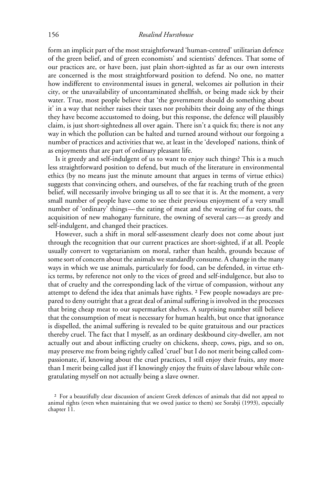form an implicit part of the most straightforward 'human-centred' utilitarian defence of the green belief, and of green economists' and scientists' defences. That some of our practices are, or have been, just plain short-sighted as far as our own interests are concerned is the most straightforward position to defend. No one, no matter how indifferent to environmental issues in general, welcomes air pollution in their city, or the unavailability of uncontaminated shellfish, or being made sick by their water. True, most people believe that 'the government should do something about it' in a way that neither raises their taxes nor prohibits their doing any of the things they have become accustomed to doing, but this response, the defence will plausibly claim, is just short-sightedness all over again. There isn't a quick fix; there is not any way in which the pollution can be halted and turned around without our forgoing a number of practices and activities that we, at least in the 'developed' nations, think of as enjoyments that are part of ordinary pleasant life.

Is it greedy and self-indulgent of us to want to enjoy such things? This is a much less straightforward position to defend, but much of the literature in environmental ethics (by no means just the minute amount that argues in terms of virtue ethics) suggests that convincing others, and ourselves, of the far reaching truth of the green belief, will necessarily involve bringing us all to see that it is. At the moment, a very small number of people have come to see their previous enjoyment of a very small number of 'ordinary' things—the eating of meat and the wearing of fur coats, the acquisition of new mahogany furniture, the owning of several cars—as greedy and self-indulgent, and changed their practices.

However, such a shift in moral self-assessment clearly does not come about just through the recognition that our current practices are short-sighted, if at all. People usually convert to vegetarianism on moral, rather than health, grounds because of some sort of concern about the animals we standardly consume. A change in the many ways in which we use animals, particularly for food, can be defended, in virtue ethics terms, by reference not only to the vices of greed and self-indulgence, but also to that of cruelty and the corresponding lack of the virtue of compassion, without any attempt to defend the idea that animals have rights. ² Few people nowadays are prepared to deny outright that a great deal of animal suffering is involved in the processes that bring cheap meat to our supermarket shelves. A surprising number still believe that the consumption of meat is necessary for human health, but once that ignorance is dispelled, the animal suffering is revealed to be quite gratuitous and our practices thereby cruel. The fact that I myself, as an ordinary deskbound city-dweller, am not actually out and about inflicting cruelty on chickens, sheep, cows, pigs, and so on, may preserve me from being rightly called 'cruel' but I do not merit being called compassionate, if, knowing about the cruel practices, I still enjoy their fruits, any more than I merit being called just if I knowingly enjoy the fruits of slave labour while congratulating myself on not actually being a slave owner.

² For a beautifully clear discussion of ancient Greek defences of animals that did not appeal to animal rights (even when maintaining that we owed justice to them) see Sorabji (1993), especially chapter 11.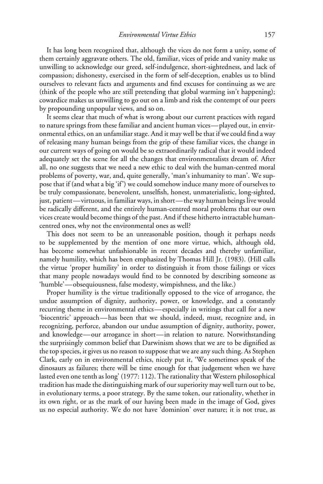It has long been recognized that, although the vices do not form a unity, some of them certainly aggravate others. The old, familiar, vices of pride and vanity make us unwilling to acknowledge our greed, self-indulgence, short-sightedness, and lack of compassion; dishonesty, exercised in the form of self-deception, enables us to blind ourselves to relevant facts and arguments and find excuses for continuing as we are (think of the people who are still pretending that global warming isn't happening); cowardice makes us unwilling to go out on a limb and risk the contempt of our peers by propounding unpopular views, and so on.

It seems clear that much of what is wrong about our current practices with regard to nature springs from these familiar and ancient human vices—played out, in environmental ethics, on an unfamiliar stage. And it may well be that if we could find a way of releasing many human beings from the grip of these familiar vices, the change in our current ways of going on would be so extraordinarily radical that it would indeed adequately set the scene for all the changes that environmentalists dream of. After all, no one suggests that we need a new ethic to deal with the human-centred moral problems of poverty, war, and, quite generally, 'man's inhumanity to man'. We suppose that if (and what a big 'if') we could somehow induce many more of ourselves to be truly compassionate, benevolent, unselfish, honest, unmaterialistic, long-sighted, just, patient—virtuous, in familiar ways, in short—the way human beings live would be radically different, and the entirely human-centred moral problems that our own vices create would become things of the past. And if these hitherto intractable humancentred ones, why not the environmental ones as well?

This does not seem to be an unreasonable position, though it perhaps needs to be supplemented by the mention of one more virtue, which, although old, has become somewhat unfashionable in recent decades and thereby unfamiliar, namely humility, which has been emphasized by Thomas Hill Jr. (1983). (Hill calls the virtue 'proper humility' in order to distinguish it from those failings or vices that many people nowadays would find to be connoted by describing someone as 'humble'—obsequiousness, false modesty, wimpishness, and the like.)

Proper humility is the virtue traditionally opposed to the vice of arrogance, the undue assumption of dignity, authority, power, or knowledge, and a constantly recurring theme in environmental ethics—especially in writings that call for a new 'biocentric' approach—has been that we should, indeed, must, recognize and, in recognizing, perforce, abandon our undue assumption of dignity, authority, power, and knowledge—our arrogance in short—in relation to nature. Notwithstanding the surprisingly common belief that Darwinism shows that we are to be dignified as the top species, it gives us no reason to suppose that we are any such thing. As Stephen Clark, early on in environmental ethics, nicely put it, 'We sometimes speak of the dinosaurs as failures; there will be time enough for that judgement when we have lasted even one tenth as long' (1977: 112). The rationality that Western philosophical tradition has made the distinguishing mark of our superiority may well turn out to be, in evolutionary terms, a poor strategy. By the same token, our rationality, whether in its own right, or as the mark of our having been made in the image of God, gives us no especial authority. We do not have 'dominion' over nature; it is not true, as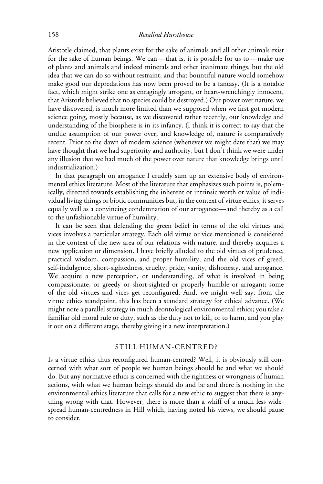Aristotle claimed, that plants exist for the sake of animals and all other animals exist for the sake of human beings. We can—that is, it is possible for us to—make use of plants and animals and indeed minerals and other inanimate things, but the old idea that we can do so without restraint, and that bountiful nature would somehow make good our depredations has now been proved to be a fantasy. (It is a notable fact, which might strike one as enragingly arrogant, or heart-wrenchingly innocent, that Aristotle believed that no species could be destroyed.) Our power over nature, we have discovered, is much more limited than we supposed when we first got modern science going, mostly because, as we discovered rather recently, our knowledge and understanding of the biosphere is in its infancy. (I think it is correct to say that the undue assumption of our power over, and knowledge of, nature is comparatively recent. Prior to the dawn of modern science (whenever we might date that) we may have thought that we had superiority and authority, but I don't think we were under any illusion that we had much of the power over nature that knowledge brings until industrialization.)

In that paragraph on arrogance I crudely sum up an extensive body of environmental ethics literature. Most of the literature that emphasizes such points is, polemically, directed towards establishing the inherent or intrinsic worth or value of individual living things or biotic communities but, in the context of virtue ethics, it serves equally well as a convincing condemnation of our arrogance—and thereby as a call to the unfashionable virtue of humility.

It can be seen that defending the green belief in terms of the old virtues and vices involves a particular strategy. Each old virtue or vice mentioned is considered in the context of the new area of our relations with nature, and thereby acquires a new application or dimension. I have briefly alluded to the old virtues of prudence, practical wisdom, compassion, and proper humility, and the old vices of greed, self-indulgence, short-sightedness, cruelty, pride, vanity, dishonesty, and arrogance. We acquire a new perception, or understanding, of what is involved in being compassionate, or greedy or short-sighted or properly humble or arrogant; some of the old virtues and vices get reconfigured. And, we might well say, from the virtue ethics standpoint, this has been a standard strategy for ethical advance. (We might note a parallel strategy in much deontological environmental ethics; you take a familiar old moral rule or duty, such as the duty not to kill, or to harm, and you play it out on a different stage, thereby giving it a new interpretation.)

## STILL HUMAN-CENTRED?

Is a virtue ethics thus reconfigured human-centred? Well, it is obviously still concerned with what sort of people we human beings should be and what we should do. But any normative ethics is concerned with the rightness or wrongness of human actions, with what we human beings should do and be and there is nothing in the environmental ethics literature that calls for a new ethic to suggest that there is anything wrong with that. However, there is more than a whiff of a much less widespread human-centredness in Hill which, having noted his views, we should pause to consider.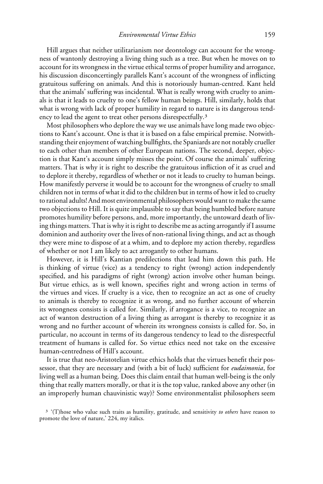Hill argues that neither utilitarianism nor deontology can account for the wrongness of wantonly destroying a living thing such as a tree. But when he moves on to account for its wrongness in the virtue ethical terms of proper humility and arrogance, his discussion disconcertingly parallels Kant's account of the wrongness of inflicting gratuitous suffering on animals. And this is notoriously human-centred. Kant held that the animals' suffering was incidental. What is really wrong with cruelty to animals is that it leads to cruelty to one's fellow human beings. Hill, similarly, holds that what is wrong with lack of proper humility in regard to nature is its dangerous tendency to lead the agent to treat other persons disrespectfully.<sup>3</sup>

Most philosophers who deplore the way we use animals have long made two objections to Kant's account. One is that it is based on a false empirical premise. Notwithstanding their enjoyment of watching bullfights, the Spaniards are not notably crueller to each other than members of other European nations. The second, deeper, objection is that Kant's account simply misses the point. Of course the animals' suffering matters. That is why it is right to describe the gratuitous infliction of it as cruel and to deplore it thereby, regardless of whether or not it leads to cruelty to human beings. How manifestly perverse it would be to account for the wrongness of cruelty to small children not in terms of what it did to the children but in terms of how it led to cruelty to rational adults! And most environmental philosophers would want to make the same two objections to Hill. It is quite implausible to say that being humbled before nature promotes humility before persons, and, more importantly, the untoward death of living things matters. That is why it is right to describe me as acting arrogantly if I assume dominion and authority over the lives of non-rational living things, and act as though they were mine to dispose of at a whim, and to deplore my action thereby, regardless of whether or not I am likely to act arrogantly to other humans.

However, it is Hill's Kantian predilections that lead him down this path. He is thinking of virtue (vice) as a tendency to right (wrong) action independently specified, and his paradigms of right (wrong) action involve other human beings. But virtue ethics, as is well known, specifies right and wrong action in terms of the virtues and vices. If cruelty is a vice, then to recognize an act as one of cruelty to animals is thereby to recognize it as wrong, and no further account of wherein its wrongness consists is called for. Similarly, if arrogance is a vice, to recognize an act of wanton destruction of a living thing as arrogant is thereby to recognize it as wrong and no further account of wherein its wrongness consists is called for. So, in particular, no account in terms of its dangerous tendency to lead to the disrespectful treatment of humans is called for. So virtue ethics need not take on the excessive human-centredness of Hill's account.

It is true that neo-Aristotelian virtue ethics holds that the virtues benefit their possessor, that they are necessary and (with a bit of luck) sufficient for *eudaimonia*, for living well as a human being. Does this claim entail that human well-being is the only thing that really matters morally, or that it is the top value, ranked above any other (in an improperly human chauvinistic way)? Some environmentalist philosophers seem

³ '(T)hose who value such traits as humility, gratitude, and sensitivity *to others* have reason to promote the love of nature,' 224, my italics.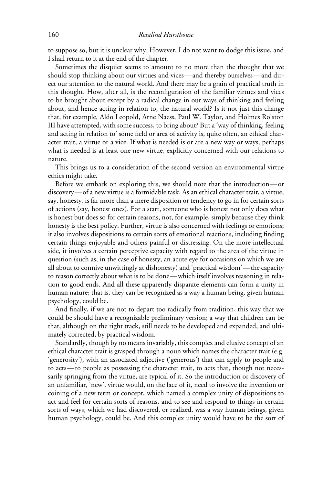to suppose so, but it is unclear why. However, I do not want to dodge this issue, and I shall return to it at the end of the chapter.

Sometimes the disquiet seems to amount to no more than the thought that we should stop thinking about our virtues and vices—and thereby ourselves—and direct our attention to the natural world. And there may be a grain of practical truth in this thought. How, after all, is the reconfiguration of the familiar virtues and vices to be brought about except by a radical change in our ways of thinking and feeling about, and hence acting in relation to, the natural world? Is it not just this change that, for example, Aldo Leopold, Arne Naess, Paul W. Taylor, and Holmes Rolston III have attempted, with some success, to bring about? But a 'way of thinking, feeling and acting in relation to' some field or area of activity is, quite often, an ethical character trait, a virtue or a vice. If what is needed is or are a new way or ways, perhaps what is needed is at least one new virtue, explicitly concerned with our relations to nature.

This brings us to a consideration of the second version an environmental virtue ethics might take.

Before we embark on exploring this, we should note that the introduction—or discovery—of a new virtue is a formidable task. As an ethical character trait, a virtue, say, honesty, is far more than a mere disposition or tendency to go in for certain sorts of actions (say, honest ones). For a start, someone who is honest not only does what is honest but does so for certain reasons, not, for example, simply because they think honesty is the best policy. Further, virtue is also concerned with feelings or emotions; it also involves dispositions to certain sorts of emotional reactions, including finding certain things enjoyable and others painful or distressing. On the more intellectual side, it involves a certain perceptive capacity with regard to the area of the virtue in question (such as, in the case of honesty, an acute eye for occasions on which we are all about to connive unwittingly at dishonesty) and 'practical wisdom'—the capacity to reason correctly about what is to be done—which itself involves reasoning in relation to good ends. And all these apparently disparate elements can form a unity in human nature; that is, they can be recognized as a way a human being, given human psychology, could be.

And finally, if we are not to depart too radically from tradition, this way that we could be should have a recognizable preliminary version; a way that children can be that, although on the right track, still needs to be developed and expanded, and ultimately corrected, by practical wisdom.

Standardly, though by no means invariably, this complex and elusive concept of an ethical character trait is grasped through a noun which names the character trait (e.g. 'generosity'), with an associated adjective ('generous') that can apply to people and to acts—to people as possessing the character trait, to acts that, though not necessarily springing from the virtue, are typical of it. So the introduction or discovery of an unfamiliar, 'new', virtue would, on the face of it, need to involve the invention or coining of a new term or concept, which named a complex unity of dispositions to act and feel for certain sorts of reasons, and to see and respond to things in certain sorts of ways, which we had discovered, or realized, was a way human beings, given human psychology, could be. And this complex unity would have to be the sort of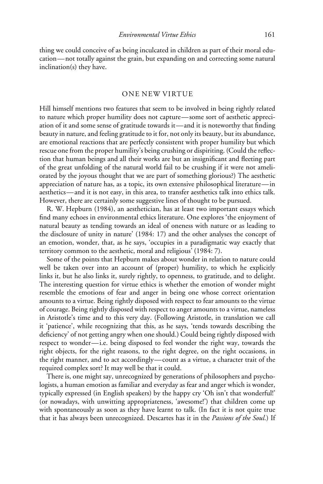thing we could conceive of as being inculcated in children as part of their moral education—not totally against the grain, but expanding on and correcting some natural inclination(s) they have.

## ONE NEW VIRTUE

Hill himself mentions two features that seem to be involved in being rightly related to nature which proper humility does not capture—some sort of aesthetic appreciation of it and some sense of gratitude towards it—and it is noteworthy that finding beauty in nature, and feeling gratitude to it for, not only its beauty, but its abundance, are emotional reactions that are perfectly consistent with proper humility but which rescue one from the proper humility's being crushing or dispiriting. (Could the reflection that human beings and all their works are but an insignificant and fleeting part of the great unfolding of the natural world fail to be crushing if it were not ameliorated by the joyous thought that we are part of something glorious?) The aesthetic appreciation of nature has, as a topic, its own extensive philosophical literature—in aesthetics—and it is not easy, in this area, to transfer aesthetics talk into ethics talk. However, there are certainly some suggestive lines of thought to be pursued.

R. W. Hepburn (1984), an aesthetician, has at least two important essays which find many echoes in environmental ethics literature. One explores 'the enjoyment of natural beauty as tending towards an ideal of oneness with nature or as leading to the disclosure of unity in nature' (1984: 17) and the other analyses the concept of an emotion, wonder, that, as he says, 'occupies in a paradigmatic way exactly that territory common to the aesthetic, moral and religious' (1984: 7).

Some of the points that Hepburn makes about wonder in relation to nature could well be taken over into an account of (proper) humility, to which he explicitly links it, but he also links it, surely rightly, to openness, to gratitude, and to delight. The interesting question for virtue ethics is whether the emotion of wonder might resemble the emotions of fear and anger in being one whose correct orientation amounts to a virtue. Being rightly disposed with respect to fear amounts to the virtue of courage. Being rightly disposed with respect to anger amounts to a virtue, nameless in Aristotle's time and to this very day. (Following Aristotle, in translation we call it 'patience', while recognizing that this, as he says, 'tends towards describing the deficiency' of not getting angry when one should.) Could being rightly disposed with respect to wonder—i.e. being disposed to feel wonder the right way, towards the right objects, for the right reasons, to the right degree, on the right occasions, in the right manner, and to act accordingly—count as a virtue, a character trait of the required complex sort? It may well be that it could.

There is, one might say, unrecognized by generations of philosophers and psychologists, a human emotion as familiar and everyday as fear and anger which is wonder, typically expressed (in English speakers) by the happy cry 'Oh isn't that wonderful!' (or nowadays, with unwitting appropriateness, 'awesome!') that children come up with spontaneously as soon as they have learnt to talk. (In fact it is not quite true that it has always been unrecognized. Descartes has it in the *Passions of the Soul*.) If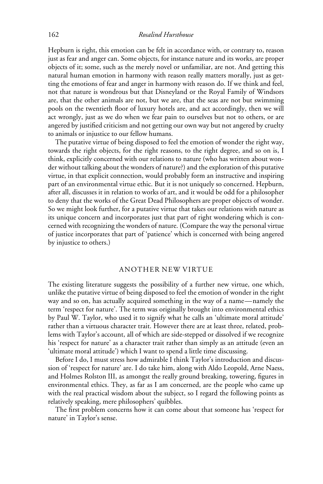Hepburn is right, this emotion can be felt in accordance with, or contrary to, reason just as fear and anger can. Some objects, for instance nature and its works, are proper objects of it; some, such as the merely novel or unfamiliar, are not. And getting this natural human emotion in harmony with reason really matters morally, just as getting the emotions of fear and anger in harmony with reason do. If we think and feel, not that nature is wondrous but that Disneyland or the Royal Family of Windsors are, that the other animals are not, but we are, that the seas are not but swimming pools on the twentieth floor of luxury hotels are, and act accordingly, then we will act wrongly, just as we do when we fear pain to ourselves but not to others, or are angered by justified criticism and not getting our own way but not angered by cruelty to animals or injustice to our fellow humans.

The putative virtue of being disposed to feel the emotion of wonder the right way, towards the right objects, for the right reasons, to the right degree, and so on is, I think, explicitly concerned with our relations to nature (who has written about wonder without talking about the wonders of nature?) and the exploration of this putative virtue, in that explicit connection, would probably form an instructive and inspiring part of an environmental virtue ethic. But it is not uniquely so concerned. Hepburn, after all, discusses it in relation to works of art, and it would be odd for a philosopher to deny that the works of the Great Dead Philosophers are proper objects of wonder. So we might look further, for a putative virtue that takes our relations with nature as its unique concern and incorporates just that part of right wondering which is concerned with recognizing the wonders of nature. (Compare the way the personal virtue of justice incorporates that part of 'patience' which is concerned with being angered by injustice to others.)

# ANOTHER NEW VIRTUE

The existing literature suggests the possibility of a further new virtue, one which, unlike the putative virtue of being disposed to feel the emotion of wonder in the right way and so on, has actually acquired something in the way of a name—namely the term 'respect for nature'. The term was originally brought into environmental ethics by Paul W. Taylor, who used it to signify what he calls an 'ultimate moral attitude' rather than a virtuous character trait. However there are at least three, related, problems with Taylor's account, all of which are side-stepped or dissolved if we recognize his 'respect for nature' as a character trait rather than simply as an attitude (even an 'ultimate moral attitude') which I want to spend a little time discussing.

Before I do, I must stress how admirable I think Taylor's introduction and discussion of 'respect for nature' are. I do take him, along with Aldo Leopold, Arne Naess, and Holmes Rolston III, as amongst the really ground breaking, towering, figures in environmental ethics. They, as far as I am concerned, are the people who came up with the real practical wisdom about the subject, so I regard the following points as relatively speaking, mere philosophers' quibbles.

The first problem concerns how it can come about that someone has 'respect for nature' in Taylor's sense.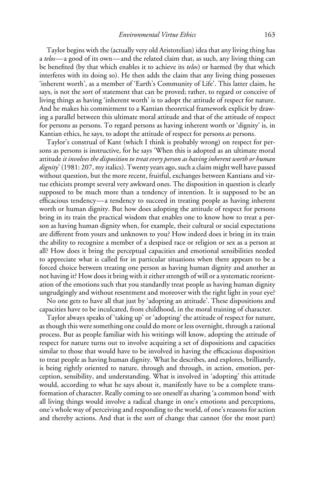Taylor begins with the (actually very old Aristotelian) idea that any living thing has a *telos*—a good of its own—and the related claim that, as such, any living thing can be benefited (by that which enables it to achieve its *telos*) or harmed (by that which interferes with its doing so). He then adds the claim that any living thing possesses 'inherent worth', as a member of 'Earth's Community of Life'. This latter claim, he says, is not the sort of statement that can be proved; rather, to regard or conceive of living things as having 'inherent worth' is to adopt the attitude of respect for nature. And he makes his commitment to a Kantian theoretical framework explicit by drawing a parallel between this ultimate moral attitude and that of the attitude of respect for persons as persons. To regard persons as having inherent worth or 'dignity' is, in Kantian ethics, he says, to adopt the attitude of respect for persons *as* persons.

Taylor's construal of Kant (which I think is probably wrong) on respect for persons as persons is instructive, for he says 'When this is adopted as an ultimate moral attitude*it involves the disposition to treat every person as having inherent worth or human dignity*' (1981: 207, my italics). Twenty years ago, such a claim might well have passed without question, but the more recent, fruitful, exchanges between Kantians and virtue ethicists prompt several very awkward ones. The disposition in question is clearly supposed to be much more than a tendency of intention. It is supposed to be an efficacious tendency—a tendency to succeed in treating people as having inherent worth or human dignity. But how does adopting the attitude of respect for persons bring in its train the practical wisdom that enables one to know how to treat a person as having human dignity when, for example, their cultural or social expectations are different from yours and unknown to you? How indeed does it bring in its train the ability to recognize a member of a despised race or religion or sex as a person at all? How does it bring the perceptual capacities and emotional sensibilities needed to appreciate what is called for in particular situations when there appears to be a forced choice between treating one person as having human dignity and another as not having it? How does it bring with it either strength of will or a systematic reorientation of the emotions such that you standardly treat people as having human dignity ungrudgingly and without resentment and moreover with the right light in your eye?

No one gets to have all that just by 'adopting an attitude'. These dispositions and capacities have to be inculcated, from childhood, in the moral training of character.

Taylor always speaks of 'taking up' or 'adopting' the attitude of respect for nature, as though this were something one could do more or less overnight, through a rational process. But as people familiar with his writings will know, adopting the attitude of respect for nature turns out to involve acquiring a set of dispositions and capacities similar to those that would have to be involved in having the efficacious disposition to treat people as having human dignity. What he describes, and explores, brilliantly, is being rightly oriented to nature, through and through, in action, emotion, perception, sensibility, and understanding. What is involved in 'adopting' this attitude would, according to what he says about it, manifestly have to be a complete transformation of character. Really coming to see oneself as sharing 'a common bond' with all living things would involve a radical change in one's emotions and perceptions, one's whole way of perceiving and responding to the world, of one's reasons for action and thereby actions. And that is the sort of change that cannot (for the most part)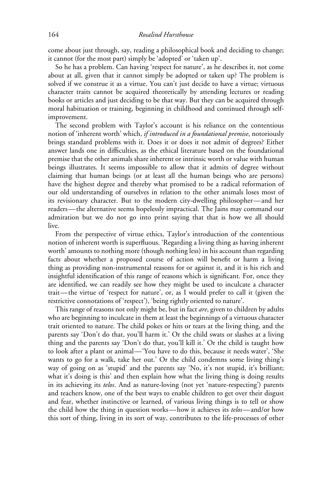come about just through, say, reading a philosophical book and deciding to change; it cannot (for the most part) simply be 'adopted' or 'taken up'.

So he has a problem. Can having 'respect for nature', as he describes it, not come about at all, given that it cannot simply be adopted or taken up? The problem is solved if we construe it as a virtue. You can't just decide to have a virtue; virtuous character traits cannot be acquired theoretically by attending lectures or reading books or articles and just deciding to be that way. But they can be acquired through moral habituation or training, beginning in childhood and continued through selfimprovement.

The second problem with Taylor's account is his reliance on the contentious notion of 'inherent worth' which, *if introduced in a foundational premise*, notoriously brings standard problems with it. Does it or does it not admit of degrees? Either answer lands one in difficulties, as the ethical literature based on the foundational premise that the other animals share inherent or intrinsic worth or value with human beings illustrates. It seems impossible to allow that it admits of degree without claiming that human beings (or at least all the human beings who are persons) have the highest degree and thereby what promised to be a radical reformation of our old understanding of ourselves in relation to the other animals loses most of its revisionary character. But to the modern city-dwelling philosopher—and her readers—the alternative seems hopelessly impractical. The Jains may command our admiration but we do not go into print saying that that is how we all should live.

From the perspective of virtue ethics, Taylor's introduction of the contentious notion of inherent worth is superfluous. 'Regarding a living thing as having inherent worth' amounts to nothing more (though nothing less) in his account than regarding facts about whether a proposed course of action will benefit or harm a living thing as providing non-instrumental reasons for or against it, and it is his rich and insightful identification of this range of reasons which is significant. For, once they are identified, we can readily see how they might be used to inculcate a character trait—the virtue of 'respect for nature', or, as I would prefer to call it (given the restrictive connotations of 'respect'), 'being rightly oriented to nature'.

This range of reasons not only might be, but in fact *are*, given to children by adults who are beginning to inculcate in them at least the beginnings of a virtuous character trait oriented to nature. The child pokes or hits or tears at the living thing, and the parents say 'Don't do that, you'll harm it.' Or the child swats or slashes at a living thing and the parents say 'Don't do that, you'll kill it.' Or the child is taught how to look after a plant or animal—'You have to do this, because it needs water', 'She wants to go for a walk, take her out.' Or the child condemns some living thing's way of going on as 'stupid' and the parents say 'No, it's not stupid, it's brilliant; what it's doing is this' and then explain how what the living thing is doing results in its achieving its *telos*. And as nature-loving (not yet 'nature-respecting') parents and teachers know, one of the best ways to enable children to get over their disgust and fear, whether instinctive or learned, of various living things is to tell or show the child how the thing in question works—how it achieves its *telos*—and/or how this sort of thing, living in its sort of way, contributes to the life-processes of other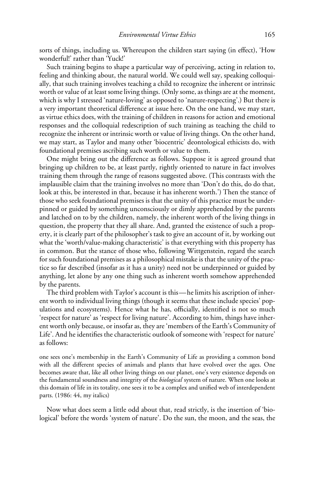sorts of things, including us. Whereupon the children start saying (in effect), 'How wonderful!' rather than 'Yuck!'

Such training begins to shape a particular way of perceiving, acting in relation to, feeling and thinking about, the natural world. We could well say, speaking colloquially, that such training involves teaching a child to recognize the inherent or intrinsic worth or value of at least some living things. (Only some, as things are at the moment, which is why I stressed 'nature-loving' as opposed to 'nature-respecting'.) But there is a very important theoretical difference at issue here. On the one hand, we may start, as virtue ethics does, with the training of children in reasons for action and emotional responses and the colloquial redescription of such training as teaching the child to recognize the inherent or intrinsic worth or value of living things. On the other hand, we may start, as Taylor and many other 'biocentric' deontological ethicists do, with foundational premises ascribing such worth or value to them.

One might bring out the difference as follows. Suppose it is agreed ground that bringing up children to be, at least partly, rightly oriented to nature in fact involves training them through the range of reasons suggested above. (This contrasts with the implausible claim that the training involves no more than 'Don't do this, do do that, look at this, be interested in that, because it has inherent worth.') Then the stance of those who seek foundational premises is that the unity of this practice must be underpinned or guided by something unconsciously or dimly apprehended by the parents and latched on to by the children, namely, the inherent worth of the living things in question, the property that they all share. And, granted the existence of such a property, it is clearly part of the philosopher's task to give an account of it, by working out what the 'worth/value-making characteristic' is that everything with this property has in common. But the stance of those who, following Wittgenstein, regard the search for such foundational premises as a philosophical mistake is that the unity of the practice so far described (insofar as it has a unity) need not be underpinned or guided by anything, let alone by any one thing such as inherent worth somehow apprehended by the parents.

The third problem with Taylor's account is this—he limits his ascription of inherent worth to individual living things (though it seems that these include species' populations and ecosystems). Hence what he has, officially, identified is not so much 'respect for nature' as 'respect for living nature'. According to him, things have inherent worth only because, or insofar as, they are 'members of the Earth's Community of Life'. And he identifies the characteristic outlook of someone with 'respect for nature' as follows:

one sees one's membership in the Earth's Community of Life as providing a common bond with all the different species of animals and plants that have evolved over the ages. One becomes aware that, like all other living things on our planet, one's very existence depends on the fundamental soundness and integrity of the *biological* system of nature. When one looks at this domain of life in its totality, one sees it to be a complex and unified web of interdependent parts. (1986: 44, my italics)

Now what does seem a little odd about that, read strictly, is the insertion of 'biological' before the words 'system of nature'. Do the sun, the moon, and the seas, the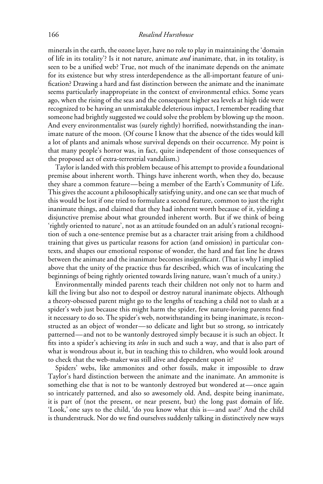minerals in the earth, the ozone layer, have no role to play in maintaining the 'domain of life in its totality'? Is it not nature, animate *and* inanimate, that, in its totality, is seen to be a unified web? True, not much of the inanimate depends on the animate for its existence but why stress interdependence as the all-important feature of unification? Drawing a hard and fast distinction between the animate and the inanimate seems particularly inappropriate in the context of environmental ethics. Some years ago, when the rising of the seas and the consequent higher sea levels at high tide were recognized to be having an unmistakable deleterious impact, I remember reading that someone had brightly suggested we could solve the problem by blowing up the moon. And every environmentalist was (surely rightly) horrified, notwithstanding the inanimate nature of the moon. (Of course I know that the absence of the tides would kill a lot of plants and animals whose survival depends on their occurrence. My point is that many people's horror was, in fact, quite independent of those consequences of the proposed act of extra-terrestrial vandalism.)

Taylor is landed with this problem because of his attempt to provide a foundational premise about inherent worth. Things have inherent worth, when they do, because they share a common feature—being a member of the Earth's Community of Life. This gives the account a philosophically satisfying unity, and one can see that much of this would be lost if one tried to formulate a second feature, common to just the right inanimate things, and claimed that they had inherent worth because of it, yielding a disjunctive premise about what grounded inherent worth. But if we think of being 'rightly oriented to nature', not as an attitude founded on an adult's rational recognition of such a one-sentence premise but as a character trait arising from a childhood training that gives us particular reasons for action (and omission) in particular contexts, and shapes our emotional response of wonder, the hard and fast line he draws between the animate and the inanimate becomes insignificant. (That is why I implied above that the unity of the practice thus far described, which was of inculcating the beginnings of being rightly oriented towards living nature, wasn't much of a unity.)

Environmentally minded parents teach their children not only not to harm and kill the living but also not to despoil or destroy natural inanimate objects. Although a theory-obsessed parent might go to the lengths of teaching a child not to slash at a spider's web just because this might harm the spider, few nature-loving parents find it necessary to do so. The spider's web, notwithstanding its being inanimate, is reconstructed as an object of wonder—so delicate and light but so strong, so intricately patterned—and not to be wantonly destroyed simply because it is such an object. It fits into a spider's achieving its *telos* in such and such a way, and that is also part of what is wondrous about it, but in teaching this to children, who would look around to check that the web-maker was still alive and dependent upon it?

Spiders' webs, like ammonites and other fossils, make it impossible to draw Taylor's hard distinction between the animate and the inanimate. An ammonite is something else that is not to be wantonly destroyed but wondered at—once again so intricately patterned, and also so awesomely old. And, despite being inanimate, it is part of (not the present, or near present, but) the long past domain of life. 'Look,' one says to the child, 'do you know what this is—and *was*?' And the child is thunderstruck. Nor do we find ourselves suddenly talking in distinctively new ways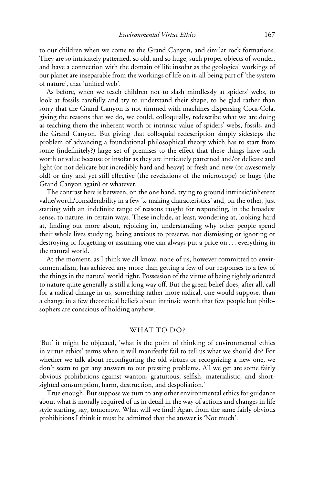to our children when we come to the Grand Canyon, and similar rock formations. They are so intricately patterned, so old, and so huge, such proper objects of wonder, and have a connection with the domain of life insofar as the geological workings of our planet are inseparable from the workings of life on it, all being part of 'the system of nature', that 'unified web'.

As before, when we teach children not to slash mindlessly at spiders' webs, to look at fossils carefully and try to understand their shape, to be glad rather than sorry that the Grand Canyon is not rimmed with machines dispensing Coca-Cola, giving the reasons that we do, we could, colloquially, redescribe what we are doing as teaching them the inherent worth or intrinsic value of spiders' webs, fossils, and the Grand Canyon. But giving that colloquial redescription simply sidesteps the problem of advancing a foundational philosophical theory which has to start from some (indefinitely?) large set of premises to the effect that these things have such worth or value because or insofar as they are intricately patterned and/or delicate and light (or not delicate but incredibly hard and heavy) or fresh and new (or awesomely old) or tiny and yet still effective (the revelations of the microscope) or huge (the Grand Canyon again) or whatever.

The contrast here is between, on the one hand, trying to ground intrinsic/inherent value/worth/considerability in a few 'x-making characteristics' and, on the other, just starting with an indefinite range of reasons taught for responding, in the broadest sense, to nature, in certain ways. These include, at least, wondering at, looking hard at, finding out more about, rejoicing in, understanding why other people spend their whole lives studying, being anxious to preserve, not dismissing or ignoring or destroying or forgetting or assuming one can always put a price on *...*everything in the natural world.

At the moment, as I think we all know, none of us, however committed to environmentalism, has achieved any more than getting a few of our responses to a few of the things in the natural world right. Possession of the virtue of being rightly oriented to nature quite generally is still a long way off. But the green belief does, after all, call for a radical change in us, something rather more radical, one would suppose, than a change in a few theoretical beliefs about intrinsic worth that few people but philosophers are conscious of holding anyhow.

## WHAT TO DO?

'But' it might be objected, 'what is the point of thinking of environmental ethics in virtue ethics' terms when it will manifestly fail to tell us what we should do? For whether we talk about reconfiguring the old virtues or recognizing a new one, we don't seem to get any answers to our pressing problems. All we get are some fairly obvious prohibitions against wanton, gratuitous, selfish, materialistic, and shortsighted consumption, harm, destruction, and despoliation.'

True enough. But suppose we turn to any other environmental ethics for guidance about what is morally required of us in detail in the way of actions and changes in life style starting, say, tomorrow. What will we find? Apart from the same fairly obvious prohibitions I think it must be admitted that the answer is 'Not much'.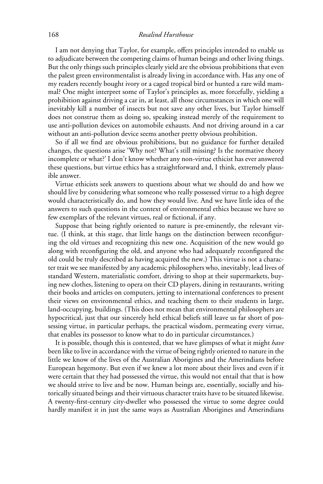#### 168 *Rosalind Hursthouse*

I am not denying that Taylor, for example, offers principles intended to enable us to adjudicate between the competing claims of human beings and other living things. But the only things such principles clearly yield are the obvious prohibitions that even the palest green environmentalist is already living in accordance with. Has any one of my readers recently bought ivory or a caged tropical bird or hunted a rare wild mammal? One might interpret some of Taylor's principles as, more forcefully, yielding a prohibition against driving a car in, at least, all those circumstances in which one will inevitably kill a number of insects but not save any other lives, but Taylor himself does not construe them as doing so, speaking instead merely of the requirement to use anti-pollution devices on automobile exhausts. And not driving around in a car without an anti-pollution device seems another pretty obvious prohibition.

So if all we find are obvious prohibitions, but no guidance for further detailed changes, the questions arise 'Why not? What's still missing? Is the normative theory incomplete or what?' I don't know whether any non-virtue ethicist has ever answered these questions, but virtue ethics has a straightforward and, I think, extremely plausible answer.

Virtue ethicists seek answers to questions about what we should do and how we should live by considering what someone who really possessed virtue to a high degree would characteristically do, and how they would live. And we have little idea of the answers to such questions in the context of environmental ethics because we have so few exemplars of the relevant virtues, real or fictional, if any.

Suppose that being rightly oriented to nature is pre-eminently, the relevant virtue. (I think, at this stage, that little hangs on the distinction between reconfiguring the old virtues and recognizing this new one. Acquisition of the new would go along with reconfiguring the old, and anyone who had adequately reconfigured the old could be truly described as having acquired the new.) This virtue is not a character trait we see manifested by any academic philosophers who, inevitably, lead lives of standard Western, materialistic comfort, driving to shop at their supermarkets, buying new clothes, listening to opera on their CD players, dining in restaurants, writing their books and articles on computers, jetting to international conferences to present their views on environmental ethics, and teaching them to their students in large, land-occupying, buildings. (This does not mean that environmental philosophers are hypocritical, just that our sincerely held ethical beliefs still leave us far short of possessing virtue, in particular perhaps, the practical wisdom, permeating every virtue, that enables its possessor to know what to do in particular circumstances.)

It is possible, though this is contested, that we have glimpses of what it might *have* been like to live in accordance with the virtue of being rightly oriented to nature in the little we know of the lives of the Australian Aborigines and the Amerindians before European hegemony. But even if we knew a lot more about their lives and even if it were certain that they had possessed the virtue, this would not entail that that is how we should strive to live and be now. Human beings are, essentially, socially and historically situated beings and their virtuous character traits have to be situated likewise. A twenty-first-century city-dweller who possessed the virtue to some degree could hardly manifest it in just the same ways as Australian Aborigines and Amerindians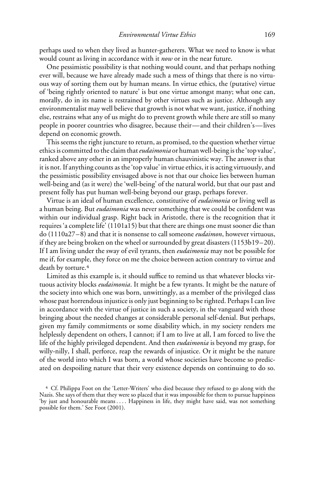perhaps used to when they lived as hunter-gatherers. What we need to know is what would count as living in accordance with it *now* or in the near future.

One pessimistic possibility is that nothing would count, and that perhaps nothing ever will, because we have already made such a mess of things that there is no virtuous way of sorting them out by human means. In virtue ethics, the (putative) virtue of 'being rightly oriented to nature' is but one virtue amongst many; what one can, morally, do in its name is restrained by other virtues such as justice. Although any environmentalist may well believe that growth is not what we want, justice, if nothing else, restrains what any of us might do to prevent growth while there are still so many people in poorer countries who disagree, because their—and their children's—lives depend on economic growth.

This seems the right juncture to return, as promised, to the question whether virtue ethics is committed to the claim that*eudaimonia* or human well-being is the 'top value', ranked above any other in an improperly human chauvinistic way. The answer is that it is not. If anything counts as the 'top value' in virtue ethics, it is acting virtuously, and the pessimistic possibility envisaged above is not that our choice lies between human well-being and (as it were) the 'well-being' of the natural world, but that our past and present folly has put human well-being beyond our grasp, perhaps forever.

Virtue is an ideal of human excellence, constitutive of *eudaimonia* or living well as a human being. But *eudaimonia* was never something that we could be confident was within our individual grasp. Right back in Aristotle, there is the recognition that it requires 'a complete life' (1101a15) but that there are things one must sooner die than do (1110a27–8) and that it is nonsense to call someone *eudaimon*, however virtuous, if they are being broken on the wheel or surrounded by great disasters (1153b19–20). If I am living under the sway of evil tyrants, then *eudaimonia* may not be possible for me if, for example, they force on me the choice between action contrary to virtue and death by torture.<sup>4</sup>

Limited as this example is, it should suffice to remind us that whatever blocks virtuous activity blocks *eudaimonia*. It might be a few tyrants. It might be the nature of the society into which one was born, unwittingly, as a member of the privileged class whose past horrendous injustice is only just beginning to be righted. Perhaps I can live in accordance with the virtue of justice in such a society, in the vanguard with those bringing about the needed changes at considerable personal self-denial. But perhaps, given my family commitments or some disability which, in my society renders me helplessly dependent on others, I cannot; if I am to live at all, I am forced to live the life of the highly privileged dependent. And then *eudaimonia* is beyond my grasp, for willy-nilly, I shall, perforce, reap the rewards of injustice. Or it might be the nature of the world into which I was born, a world whose societies have become so predicated on despoiling nature that their very existence depends on continuing to do so.

<sup>&</sup>lt;sup>4</sup> Cf. Philippa Foot on the 'Letter-Writers' who died because they refused to go along with the Nazis. She says of them that they were so placed that it was impossible for them to pursue happiness 'by just and honourable means *...* . Happiness in life, they might have said, was not something possible for them.' See Foot (2001).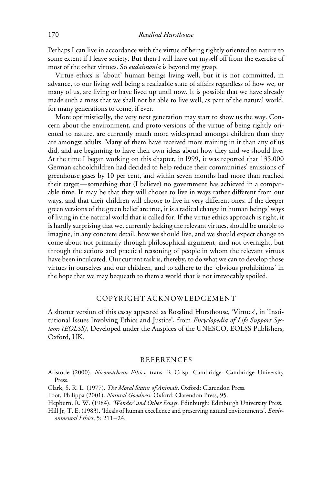Perhaps I can live in accordance with the virtue of being rightly oriented to nature to some extent if I leave society. But then I will have cut myself off from the exercise of most of the other virtues. So *eudaimonia* is beyond my grasp.

Virtue ethics is 'about' human beings living well, but it is not committed, in advance, to our living well being a realizable state of affairs regardless of how we, or many of us, are living or have lived up until now. It is possible that we have already made such a mess that we shall not be able to live well, as part of the natural world, for many generations to come, if ever.

More optimistically, the very next generation may start to show us the way. Concern about the environment, and proto-versions of the virtue of being rightly oriented to nature, are currently much more widespread amongst children than they are amongst adults. Many of them have received more training in it than any of us did, and are beginning to have their own ideas about how they and we should live. At the time I began working on this chapter, in l999, it was reported that 135,000 German schoolchildren had decided to help reduce their communities' emissions of greenhouse gases by 10 per cent, and within seven months had more than reached their target—something that (I believe) no government has achieved in a comparable time. It may be that they will choose to live in ways rather different from our ways, and that their children will choose to live in very different ones. If the deeper green versions of the green belief are true, it is a radical change in human beings' ways of living in the natural world that is called for. If the virtue ethics approach is right, it is hardly surprising that we, currently lacking the relevant virtues, should be unable to imagine, in any concrete detail, how we should live, and we should expect change to come about not primarily through philosophical argument, and not overnight, but through the actions and practical reasoning of people in whom the relevant virtues have been inculcated. Our current task is, thereby, to do what we can to develop those virtues in ourselves and our children, and to adhere to the 'obvious prohibitions' in the hope that we may bequeath to them a world that is not irrevocably spoiled.

# COPYRIGHT ACKNOWLEDGEMENT

A shorter version of this essay appeared as Rosalind Hursthouse, 'Virtues', in 'Institutional Issues Involving Ethics and Justice', from *Encyclopedia of Life Support Systems (EOLSS)*, Developed under the Auspices of the UNESCO, EOLSS Publishers, Oxford, UK.

### **REFERENCES**

Aristotle (2000). *Nicomachean Ethics*, trans. R. Crisp. Cambridge: Cambridge University Press.

- Clark, S. R. L. (1977). *The Moral Status of Animals*. Oxford: Clarendon Press.
- Foot, Philippa (2001). *Natural Goodness*. Oxford: Clarendon Press, 95.
- Hepburn, R. W. (1984). *'Wonder' and Other Essays*. Edinburgh: Edinburgh University Press.

Hill Jr, T. E. (1983). 'Ideals of human excellence and preserving natural environments'. *Environmental Ethics*, 5: 211–24.